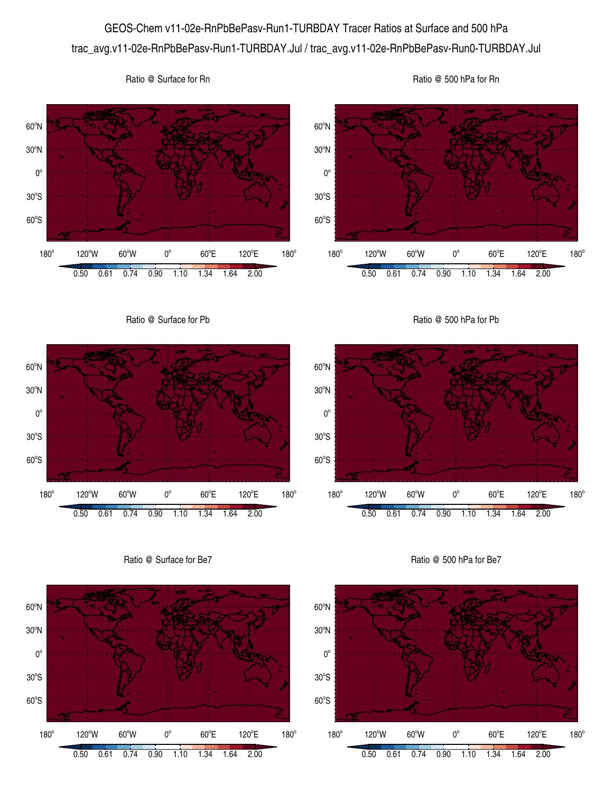## GEOS-Chem v11-02e-RnPbBePasv-Run1-TURBDAY Tracer Ratios at Surface and 500 hPa trac\_avg.v11-02e-RnPbBePasv-Run1-TURBDAY.Jul / trac\_avg.v11-02e-RnPbBePasv-Run0-TURBDAY.Jul



 $180^\circ$ 



Ratio @ Surface for Rn

Ratio @ Surface for Be7



Ratio @ 500 hPa for Be7

0.50 0.61 0.74 0.90 1.10 1.34 1.64 2.00

 $60^{\circ}E$ 

120°E

 $180^\circ$ 

120°W 60°W 0°

Ratio @ 500 hPa for Rn